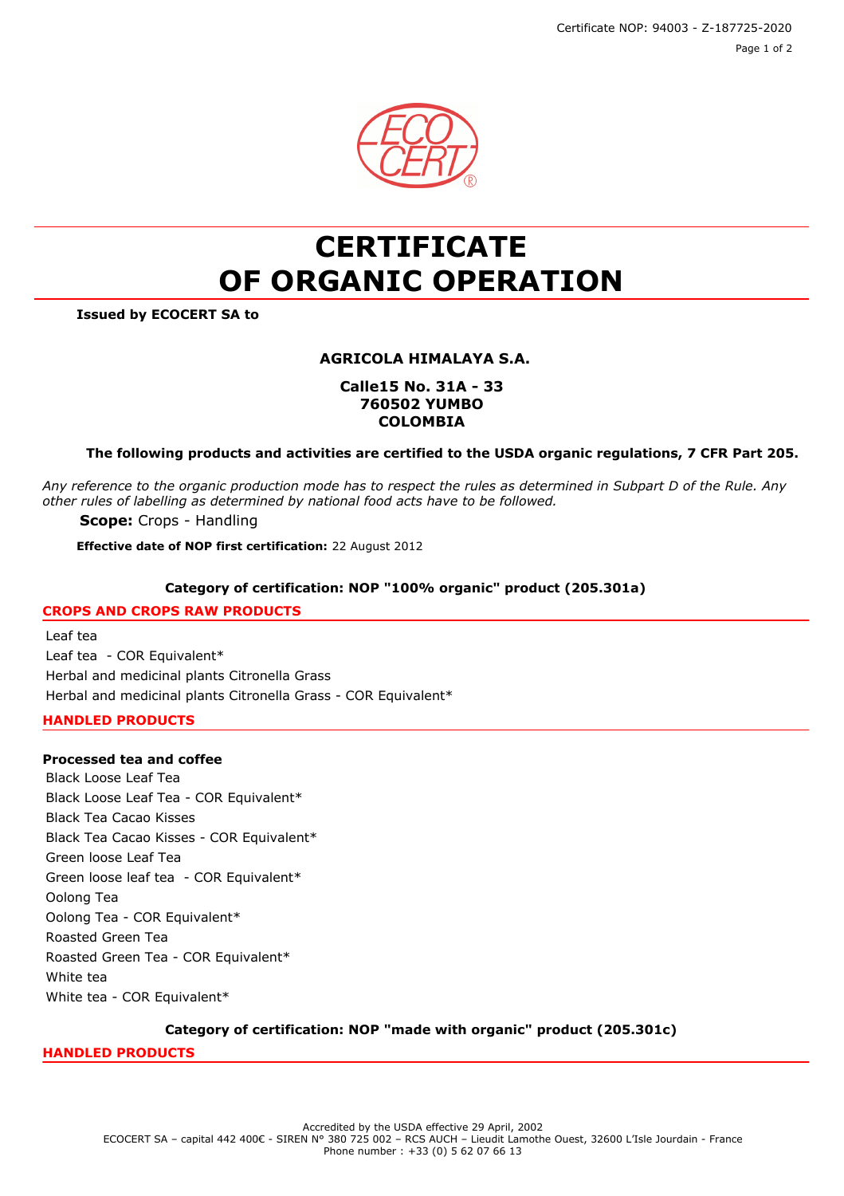Certificate NOP: 94003 - Z-187725-2020 Page 1 of 2



# **CERTIFICATE OF ORGANIC OPERATION**

**Issued by ECOCERT SA to**

## **AGRICOLA HIMALAYA S.A.**

## **Calle15 No. 31A - 33 760502 YUMBO COLOMBIA**

### **The following products and activities are certified to the USDA organic regulations, 7 CFR Part 205.**

*Any reference to the organic production mode has to respect the rules as determined in Subpart D of the Rule. Any other rules of labelling as determined by national food acts have to be followed.*

**Scope:** Crops - Handling

**Effective date of NOP first certification:** 22 August 2012

#### **Category of certification: NOP "100% organic" product (205.301a)**

#### **CROPS AND CROPS RAW PRODUCTS**

Leaf tea Leaf tea - COR Equivalent\* Herbal and medicinal plants Citronella Grass Herbal and medicinal plants Citronella Grass - COR Equivalent\*

#### **HANDLED PRODUCTS**

#### **Processed tea and coffee**

Black Loose Leaf Tea Black Loose Leaf Tea - COR Equivalent\* Black Tea Cacao Kisses Black Tea Cacao Kisses - COR Equivalent\* Green loose Leaf Tea Green loose leaf tea - COR Equivalent\* Oolong Tea Oolong Tea - COR Equivalent\* Roasted Green Tea Roasted Green Tea - COR Equivalent\* White tea White tea - COR Equivalent\*

#### **Category of certification: NOP "made with organic" product (205.301c)**

**HANDLED PRODUCTS**